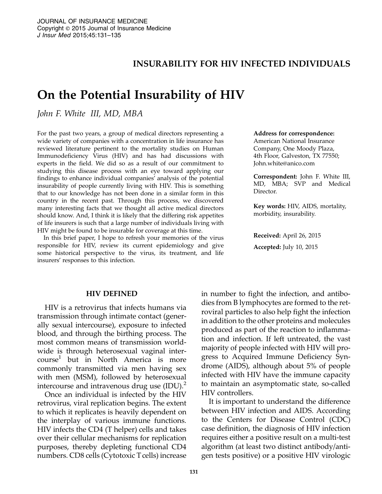## INSURABILITY FOR HIV INFECTED INDIVIDUALS

# On the Potential Insurability of HIV

John F. White III, MD, MBA

For the past two years, a group of medical directors representing a wide variety of companies with a concentration in life insurance has reviewed literature pertinent to the mortality studies on Human Immunodeficiency Virus (HIV) and has had discussions with experts in the field. We did so as a result of our commitment to studying this disease process with an eye toward applying our findings to enhance individual companies' analysis of the potential insurability of people currently living with HIV. This is something that to our knowledge has not been done in a similar form in this country in the recent past. Through this process, we discovered many interesting facts that we thought all active medical directors should know. And, I think it is likely that the differing risk appetites of life insurers is such that a large number of individuals living with HIV might be found to be insurable for coverage at this time.

In this brief paper, I hope to refresh your memories of the virus responsible for HIV, review its current epidemiology and give some historical perspective to the virus, its treatment, and life insurers' responses to this infection.

#### Address for correspondence:

American National Insurance Company, One Moody Plaza, 4th Floor, Galveston, TX 77550; John.white@anico.com

Correspondent: John F. White III, MD, MBA; SVP and Medical Director.

Key words: HIV, AIDS, mortality, morbidity, insurability.

Received: April 26, 2015 Accepted: July 10, 2015

#### HIV DEFINED

HIV is a retrovirus that infects humans via transmission through intimate contact (generally sexual intercourse), exposure to infected blood, and through the birthing process. The most common means of transmission worldwide is through heterosexual vaginal intercourse<sup>1</sup> but in North America is more commonly transmitted via men having sex with men (MSM), followed by heterosexual intercourse and intravenous drug use  $(ID)$ .<sup>2</sup>

Once an individual is infected by the HIV retrovirus, viral replication begins. The extent to which it replicates is heavily dependent on the interplay of various immune functions. HIV infects the CD4 (T helper) cells and takes over their cellular mechanisms for replication purposes, thereby depleting functional CD4 numbers. CD8 cells (Cytotoxic T cells) increase in number to fight the infection, and antibodies from B lymphocytes are formed to the retroviral particles to also help fight the infection in addition to the other proteins and molecules produced as part of the reaction to inflammation and infection. If left untreated, the vast majority of people infected with HIV will progress to Acquired Immune Deficiency Syndrome (AIDS), although about 5% of people infected with HIV have the immune capacity to maintain an asymptomatic state, so-called HIV controllers.

It is important to understand the difference between HIV infection and AIDS. According to the Centers for Disease Control (CDC) case definition, the diagnosis of HIV infection requires either a positive result on a multi-test algorithm (at least two distinct antibody/antigen tests positive) or a positive HIV virologic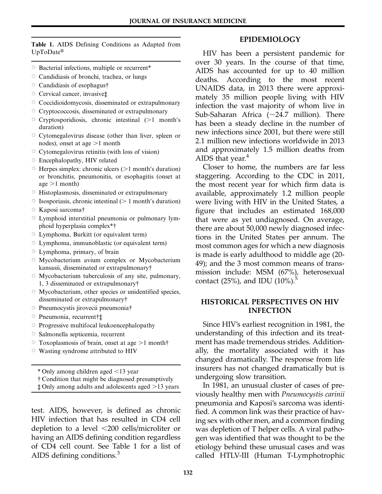Table 1. AIDS Defining Conditions as Adapted from  $UpToDate^{\circledR}$ 

- $\circ$  Bacterial infections, multiple or recurrent\*
- $\circ$  Candidiasis of bronchi, trachea, or lungs
- $\circ$  Candidiasis of esophagus $\dagger$
- $\circ$  Cervical cancer, invasive $\ddagger$
- $\circ$  Coccidioidomycosis, disseminated or extrapulmonary
- $\circ$  Cryptococcosis, disseminated or extrapulmonary
- $\circ$  Cryptosporidiosis, chronic intestinal ( $>1$  month's duration)
- $\circ$  Cytomegalovirus disease (other than liver, spleen or nodes), onset at age  $>1$  month
- $\circ$  Cytomegalovirus retinitis (with loss of vision)
- $\circ$  Encephalopathy, HIV related
- $\circ$  Herpes simplex: chronic ulcers ( $>1$  month's duration) or bronchitis, pneumonitis, or esophagitis (onset at age  $>1$  month)
- $\circ$  Histoplasmosis, disseminated or extrapulmonary
- $\circ$  Isosporiasis, chronic intestinal ( $> 1$  month's duration)
- $\circ$  Kaposi sarcoma<sup>†</sup>
- $\circ$  Lymphoid interstitial pneumonia or pulmonary lymphoid hyperplasia complex\*{
- $\circ$  Lymphoma, Burkitt (or equivalent term)
- $\circ$  Lymphoma, immunoblastic (or equivalent term)
- $\circ$  Lymphoma, primary, of brain
- $\circ$  Mycobacterium avium complex or Mycobacterium kansasii, disseminated or extrapulmonary{
- $\circ$  Mycobacterium tuberculosis of any site, pulmonary, 1, 3 disseminated or extrapulmonary{
- $\circ$  Mycobacterium, other species or unidentified species, disseminated or extrapulmonary $\dagger$
- $\circ$  Pneumocystis jirovecii pneumonia $\dagger$
- Pneumonia, recurrent†‡
- $\circ$  Progressive multifocal leukoencephalopathy
- $\circ$  Salmonella septicemia, recurrent
- $\circ$  Toxoplasmosis of brain, onset at age  $>1$  month $\dagger$
- $\circ$  Wasting syndrome attributed to HIV

 $*$  Only among children aged  $<$ 13 year

{ Condition that might be diagnosed presumptively

 $\pm$  Only among adults and adolescents aged  $>$ 13 years

test. AIDS, however, is defined as chronic HIV infection that has resulted in CD4 cell depletion to a level  $\langle 200 \text{ cells/microliter}$  or having an AIDS defining condition regardless of CD4 cell count. See Table 1 for a list of AIDS defining conditions.<sup>3</sup>

#### EPIDEMIOLOGY

HIV has been a persistent pandemic for over 30 years. In the course of that time, AIDS has accounted for up to 40 million deaths. According to the most recent UNAIDS data, in 2013 there were approximately 35 million people living with HIV infection the vast majority of whom live in Sub-Saharan Africa  $(\sim 24.7 \text{ million})$ . There has been a steady decline in the number of new infections since 2001, but there were still 2.1 million new infections worldwide in 2013 and approximately 1.5 million deaths from AIDS that year. $4$ 

Closer to home, the numbers are far less staggering. According to the CDC in 2011, the most recent year for which firm data is available, approximately 1.2 million people were living with HIV in the United States, a figure that includes an estimated 168,000 that were as yet undiagnosed. On average, there are about 50,000 newly diagnosed infections in the United States per annum. The most common ages for which a new diagnosis is made is early adulthood to middle age (20- 49); and the 3 most common means of transmission include: MSM (67%), heterosexual contact (25%), and IDU  $(10\%)$ .

## HISTORICAL PERSPECTIVES ON HIV INFECTION

Since HIV's earliest recognition in 1981, the understanding of this infection and its treatment has made tremendous strides. Additionally, the mortality associated with it has changed dramatically. The response from life insurers has not changed dramatically but is undergoing slow transition.

In 1981, an unusual cluster of cases of previously healthy men with Pneumocystis carinii pneumonia and Kaposi's sarcoma was identified. A common link was their practice of having sex with other men, and a common finding was depletion of T helper cells. A viral pathogen was identified that was thought to be the etiology behind these unusual cases and was called HTLV-III (Human T-Lymphotrophic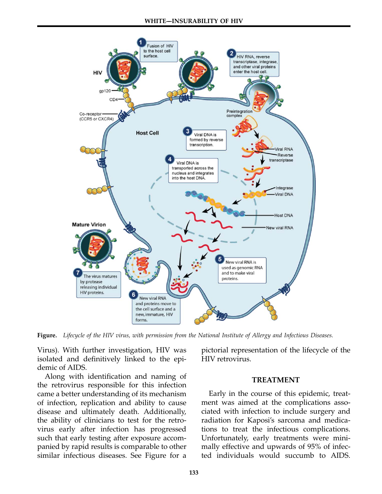

Figure. Lifecycle of the HIV virus, with permission from the National Institute of Allergy and Infectious Diseases.

Virus). With further investigation, HIV was isolated and definitively linked to the epidemic of AIDS.

Along with identification and naming of the retrovirus responsible for this infection came a better understanding of its mechanism of infection, replication and ability to cause disease and ultimately death. Additionally, the ability of clinicians to test for the retrovirus early after infection has progressed such that early testing after exposure accompanied by rapid results is comparable to other similar infectious diseases. See Figure for a

pictorial representation of the lifecycle of the HIV retrovirus.

## TREATMENT

Early in the course of this epidemic, treatment was aimed at the complications associated with infection to include surgery and radiation for Kaposi's sarcoma and medications to treat the infectious complications. Unfortunately, early treatments were minimally effective and upwards of 95% of infec‐ ted individuals would succumb to AIDS.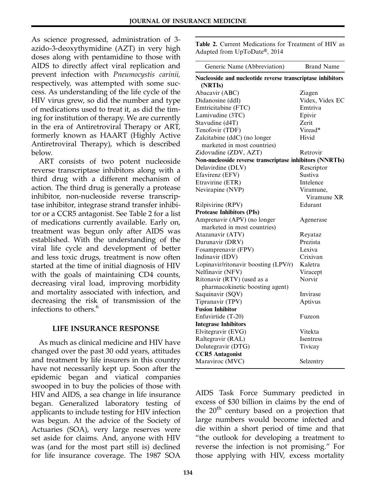As science progressed, administration of 3 azido-3-deoxythymidine (AZT) in very high doses along with pentamidine to those with AIDS to directly affect viral replication and prevent infection with Pneumocystis carinii, respectively, was attempted with some success. As understanding of the life cycle of the HIV virus grew, so did the number and type of medications used to treat it, as did the timing for institution of therapy. We are currently in the era of Antiretroviral Therapy or ART, formerly known as HAART (Highly Active Antiretroviral Therapy), which is described below.

ART consists of two potent nucleoside reverse transcriptase inhibitors along with a third drug with a different mechanism of action. The third drug is generally a protease inhibitor, non-nucleoside reverse transcriptase inhibitor, integrase strand transfer inhibitor or a CCR5 antagonist. See Table 2 for a list of medications currently available. Early on, treatment was begun only after AIDS was established. With the understanding of the viral life cycle and development of better and less toxic drugs, treatment is now often started at the time of initial diagnosis of HIV with the goals of maintaining CD4 counts, decreasing viral load, improving morbidity and mortality associated with infection, and decreasing the risk of transmission of the infections to others.<sup>6</sup>

## LIFE INSURANCE RESPONSE

As much as clinical medicine and HIV have changed over the past 30 odd years, attitudes and treatment by life insurers in this country have not necessarily kept up. Soon after the epidemic began and viatical companies swooped in to buy the policies of those with HIV and AIDS, a sea change in life insurance began. Generalized laboratory testing of applicants to include testing for HIV infection was begun. At the advice of the Society of Actuaries (SOA), very large reserves were set aside for claims. And, anyone with HIV was (and for the most part still is) declined for life insurance coverage. The 1987 SOA

Table 2. Current Medications for Treatment of HIV as Adapted from UpToDate®, 2014

| Generic Name (Abbreviation)                                           | <b>Brand Name</b> |
|-----------------------------------------------------------------------|-------------------|
| Nucleoside and nucleotide reverse transcriptase inhibitors<br>(NRTIs) |                   |
| Abacavir (ABC)                                                        | Ziagen            |
| Didanosine (ddI)                                                      | Videx, Videx EC   |
| Emtricitabine (FTC)                                                   | Emtriva           |
| Lamivudine (3TC)                                                      | Epivir            |
| Stavudine (d4T)                                                       | Zerit             |
| Tenofovir (TDF)                                                       | Viread*           |
| Zalcitabine (ddC) (no longer                                          | Hivid             |
| marketed in most countries)                                           |                   |
| Zidovudine (ZDV, AZT)                                                 | Retrovir          |
| Non-nucleoside reverse transcriptase inhibitors (NNRTIs)              |                   |
| Delavirdine (DLV)                                                     | Rescriptor        |
| Efavirenz (EFV)                                                       | Sustiva           |
| Etravirine (ETR)                                                      | Intelence         |
| Nevirapine (NVP)                                                      | Viramune,         |
|                                                                       | Viramune XR       |
| Rilpivirine (RPV)                                                     | Edurant           |
| <b>Protease Inhibitors (PIs)</b>                                      |                   |
| Amprenavir (APV) (no longer                                           | Agenerase         |
| marketed in most countries)                                           |                   |
| Atazanavir (ATV)                                                      | Reyataz           |
| Darunavir (DRV)                                                       | Prezista          |
| Fosamprenavir (FPV)                                                   | Lexiva            |
| Indinavir (IDV)                                                       | Crixivan          |
| Lopinavir/ritonavir boosting (LPV/r)                                  | Kaletra           |
| Nelfinavir (NFV)                                                      | Viracept          |
| Ritonavir (RTV) (used as a                                            | Norvir            |
| pharmacokinetic boosting agent)                                       |                   |
| Saquinavir (SQV)                                                      | Invirase          |
| Tipranavir (TPV)                                                      | Aptivus           |
| <b>Fusion Inhibitor</b>                                               |                   |
| Enfuvirtide (T-20)                                                    | Fuzeon            |
| <b>Integrase Inhibitors</b>                                           |                   |
| Elvitegravir (EVG)                                                    | Vitekta           |
| Raltegravir (RAL)                                                     | Isentress         |
| Dolutegravir (DTG)                                                    | Tivicay           |
| <b>CCR5</b> Antagonist                                                |                   |
| Maraviroc (MVC)                                                       | Selzentry         |

AIDS Task Force Summary predicted in excess of \$30 billion in claims by the end of the  $20<sup>th</sup>$  century based on a projection that large numbers would become infected and die within a short period of time and that "the outlook for developing a treatment to reverse the infection is not promising." For those applying with HIV, excess mortality